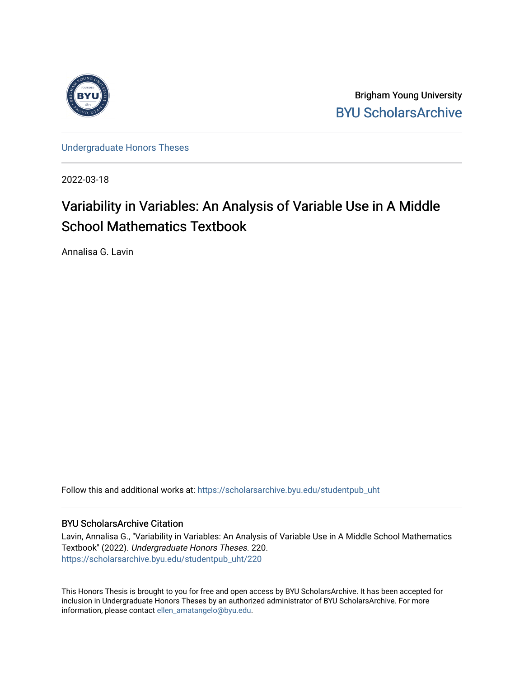

Brigham Young University [BYU ScholarsArchive](https://scholarsarchive.byu.edu/) 

[Undergraduate Honors Theses](https://scholarsarchive.byu.edu/studentpub_uht) 

2022-03-18

# Variability in Variables: An Analysis of Variable Use in A Middle School Mathematics Textbook

Annalisa G. Lavin

Follow this and additional works at: [https://scholarsarchive.byu.edu/studentpub\\_uht](https://scholarsarchive.byu.edu/studentpub_uht?utm_source=scholarsarchive.byu.edu%2Fstudentpub_uht%2F220&utm_medium=PDF&utm_campaign=PDFCoverPages) 

## BYU ScholarsArchive Citation

Lavin, Annalisa G., "Variability in Variables: An Analysis of Variable Use in A Middle School Mathematics Textbook" (2022). Undergraduate Honors Theses. 220. [https://scholarsarchive.byu.edu/studentpub\\_uht/220](https://scholarsarchive.byu.edu/studentpub_uht/220?utm_source=scholarsarchive.byu.edu%2Fstudentpub_uht%2F220&utm_medium=PDF&utm_campaign=PDFCoverPages)

This Honors Thesis is brought to you for free and open access by BYU ScholarsArchive. It has been accepted for inclusion in Undergraduate Honors Theses by an authorized administrator of BYU ScholarsArchive. For more information, please contact [ellen\\_amatangelo@byu.edu.](mailto:ellen_amatangelo@byu.edu)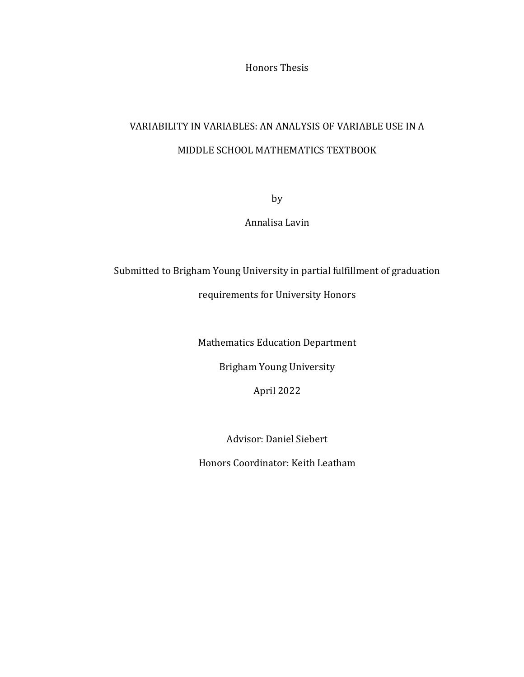Honors Thesis

# VARIABILITY IN VARIABLES: AN ANALYSIS OF VARIABLE USE IN A MIDDLE SCHOOL MATHEMATICS TEXTBOOK

by

Annalisa Lavin

Submitted to Brigham Young University in partial fulfillment of graduation requirements for University Honors

Mathematics Education Department

Brigham Young University

April 2022

Advisor: Daniel Siebert

Honors Coordinator: Keith Leatham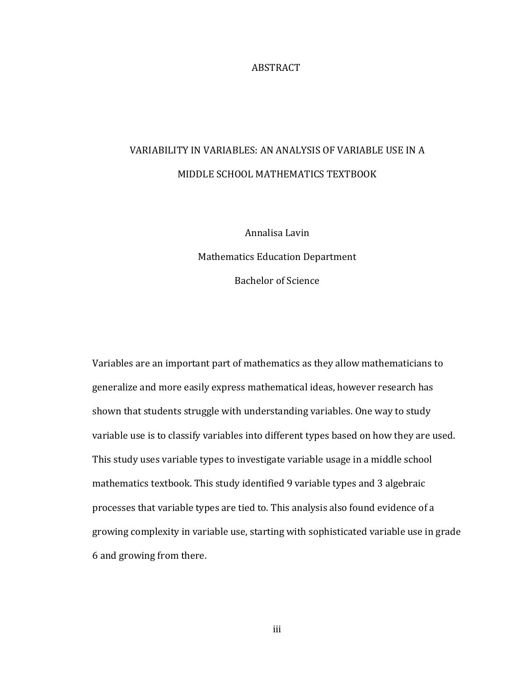## **ABSTRACT**

# VARIABILITY IN VARIABLES: AN ANALYSIS OF VARIABLE USE IN A MIDDLE SCHOOL MATHEMATICS TEXTBOOK

Annalisa Lavin Mathematics Education Department Bachelor of Science

Variables are an important part of mathematics as they allow mathematicians to generalize and more easily express mathematical ideas, however research has shown that students struggle with understanding variables. One way to study variable use is to classify variables into different types based on how they are used. This study uses variable types to investigate variable usage in a middle school mathematics textbook. This study identified 9 variable types and 3 algebraic processes that variable types are tied to. This analysis also found evidence of a growing complexity in variable use, starting with sophisticated variable use in grade 6 and growing from there.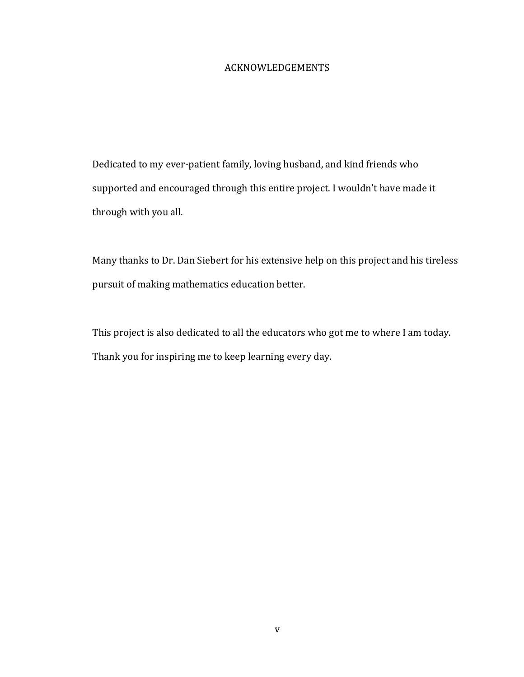## ACKNOWLEDGEMENTS

Dedicated to my ever-patient family, loving husband, and kind friends who supported and encouraged through this entire project. I wouldn't have made it through with you all.

Many thanks to Dr. Dan Siebert for his extensive help on this project and his tireless pursuit of making mathematics education better.

This project is also dedicated to all the educators who got me to where I am today. Thank you for inspiring me to keep learning every day.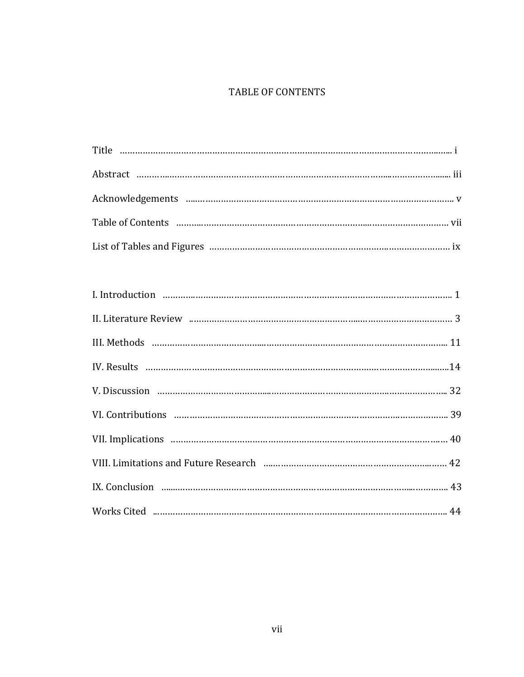## TABLE OF CONTENTS

| Works Cited manual manual contract and the contract of the works Cited manual manual manual 44 |
|------------------------------------------------------------------------------------------------|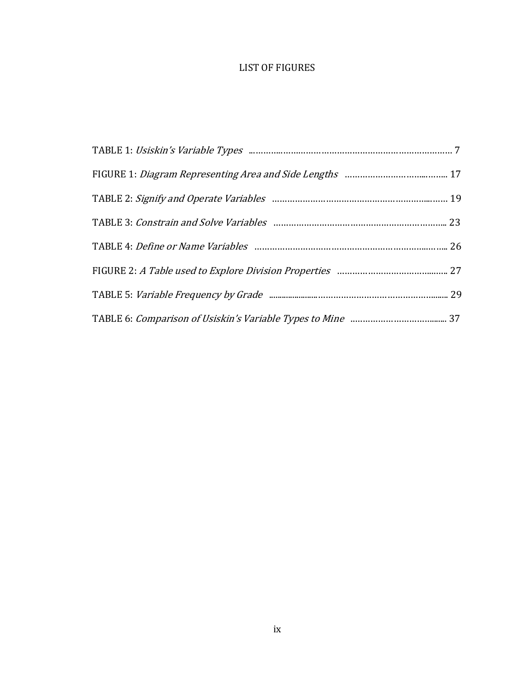## LIST OF FIGURES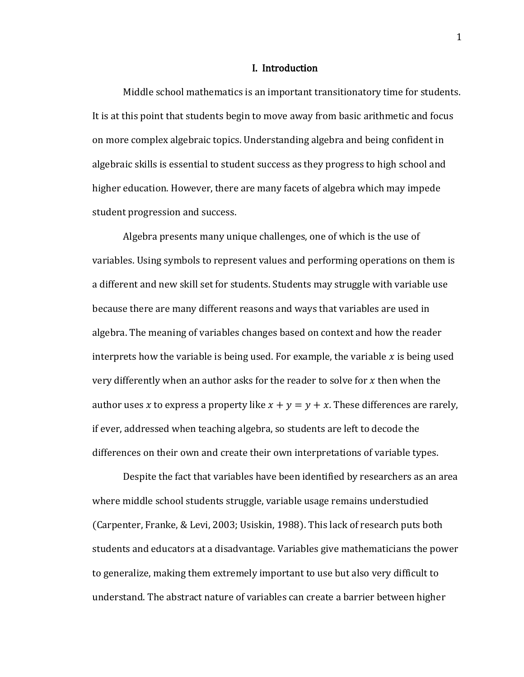#### I. Introduction

Middle school mathematics is an important transitionatory time for students. It is at this point that students begin to move away from basic arithmetic and focus on more complex algebraic topics. Understanding algebra and being confident in algebraic skills is essential to student success as they progress to high school and higher education. However, there are many facets of algebra which may impede student progression and success.

Algebra presents many unique challenges, one of which is the use of variables. Using symbols to represent values and performing operations on them is a different and new skill set for students. Students may struggle with variable use because there are many different reasons and ways that variables are used in algebra. The meaning of variables changes based on context and how the reader interprets how the variable is being used. For example, the variable  $x$  is being used very differently when an author asks for the reader to solve for  $x$  then when the author uses x to express a property like  $x + y = y + x$ . These differences are rarely, if ever, addressed when teaching algebra, so students are left to decode the differences on their own and create their own interpretations of variable types.

Despite the fact that variables have been identified by researchers as an area where middle school students struggle, variable usage remains understudied (Carpenter, Franke, & Levi, 2003; Usiskin, 1988). This lack of research puts both students and educators at a disadvantage. Variables give mathematicians the power to generalize, making them extremely important to use but also very difficult to understand. The abstract nature of variables can create a barrier between higher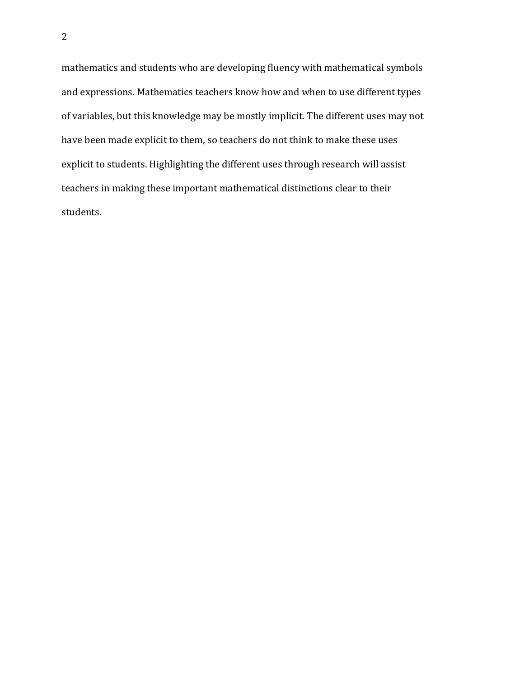mathematics and students who are developing fluency with mathematical symbols and expressions. Mathematics teachers know how and when to use different types of variables, but this knowledge may be mostly implicit. The different uses may not have been made explicit to them, so teachers do not think to make these uses explicit to students. Highlighting the different uses through research will assist teachers in making these important mathematical distinctions clear to their students.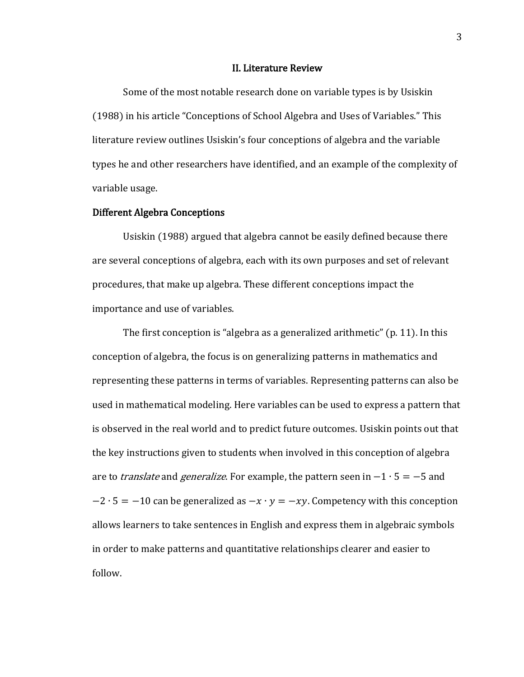#### II. Literature Review

Some of the most notable research done on variable types is by Usiskin (1988) in his article "Conceptions of School Algebra and Uses of Variables." This literature review outlines Usiskin's four conceptions of algebra and the variable types he and other researchers have identified, and an example of the complexity of variable usage.

## Different Algebra Conceptions

 Usiskin (1988) argued that algebra cannot be easily defined because there are several conceptions of algebra, each with its own purposes and set of relevant procedures, that make up algebra. These different conceptions impact the importance and use of variables.

The first conception is "algebra as a generalized arithmetic" (p. 11). In this conception of algebra, the focus is on generalizing patterns in mathematics and representing these patterns in terms of variables. Representing patterns can also be used in mathematical modeling. Here variables can be used to express a pattern that is observed in the real world and to predict future outcomes. Usiskin points out that the key instructions given to students when involved in this conception of algebra are to *translate* and *generalize*. For example, the pattern seen in  $-1 \cdot 5 = -5$  and  $-2 \cdot 5 = -10$  can be generalized as  $-x \cdot y = -xy$ . Competency with this conception allows learners to take sentences in English and express them in algebraic symbols in order to make patterns and quantitative relationships clearer and easier to follow.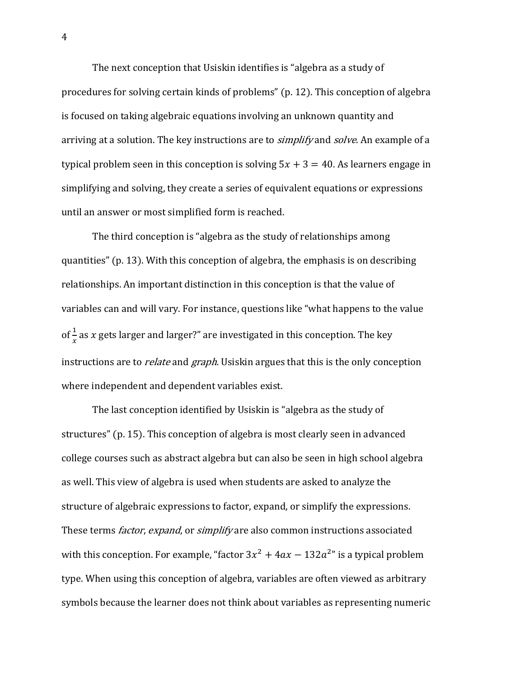The next conception that Usiskin identifies is "algebra as a study of procedures for solving certain kinds of problems" (p. 12). This conception of algebra is focused on taking algebraic equations involving an unknown quantity and arriving at a solution. The key instructions are to *simplify* and *solve*. An example of a typical problem seen in this conception is solving  $5x + 3 = 40$ . As learners engage in simplifying and solving, they create a series of equivalent equations or expressions until an answer or most simplified form is reached.

The third conception is "algebra as the study of relationships among quantities" (p. 13). With this conception of algebra, the emphasis is on describing relationships. An important distinction in this conception is that the value of variables can and will vary. For instance, questions like "what happens to the value of  $\frac{1}{x}$  as x gets larger and larger?" are investigated in this conception. The key instructions are to *relate* and *graph*. Usiskin argues that this is the only conception where independent and dependent variables exist.

The last conception identified by Usiskin is "algebra as the study of structures" (p. 15). This conception of algebra is most clearly seen in advanced college courses such as abstract algebra but can also be seen in high school algebra as well. This view of algebra is used when students are asked to analyze the structure of algebraic expressions to factor, expand, or simplify the expressions. These terms *factor, expand,* or *simplify* are also common instructions associated with this conception. For example, "factor  $3x^2 + 4ax - 132a^{2}$ " is a typical problem type. When using this conception of algebra, variables are often viewed as arbitrary symbols because the learner does not think about variables as representing numeric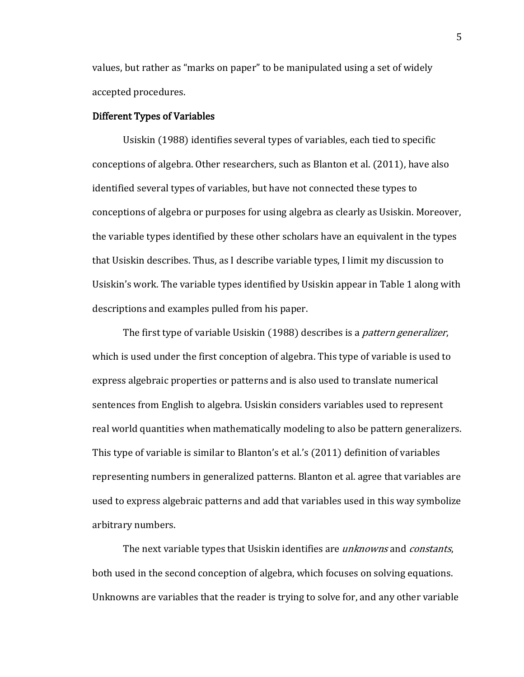values, but rather as "marks on paper" to be manipulated using a set of widely accepted procedures.

### Different Types of Variables

Usiskin (1988) identifies several types of variables, each tied to specific conceptions of algebra. Other researchers, such as Blanton et al. (2011), have also identified several types of variables, but have not connected these types to conceptions of algebra or purposes for using algebra as clearly as Usiskin. Moreover, the variable types identified by these other scholars have an equivalent in the types that Usiskin describes. Thus, as I describe variable types, I limit my discussion to Usiskin's work. The variable types identified by Usiskin appear in Table 1 along with descriptions and examples pulled from his paper.

The first type of variable Usiskin (1988) describes is a *pattern generalizer*, which is used under the first conception of algebra. This type of variable is used to express algebraic properties or patterns and is also used to translate numerical sentences from English to algebra. Usiskin considers variables used to represent real world quantities when mathematically modeling to also be pattern generalizers. This type of variable is similar to Blanton's et al.'s (2011) definition of variables representing numbers in generalized patterns. Blanton et al. agree that variables are used to express algebraic patterns and add that variables used in this way symbolize arbitrary numbers.

The next variable types that Usiskin identifies are *unknowns* and *constants*, both used in the second conception of algebra, which focuses on solving equations. Unknowns are variables that the reader is trying to solve for, and any other variable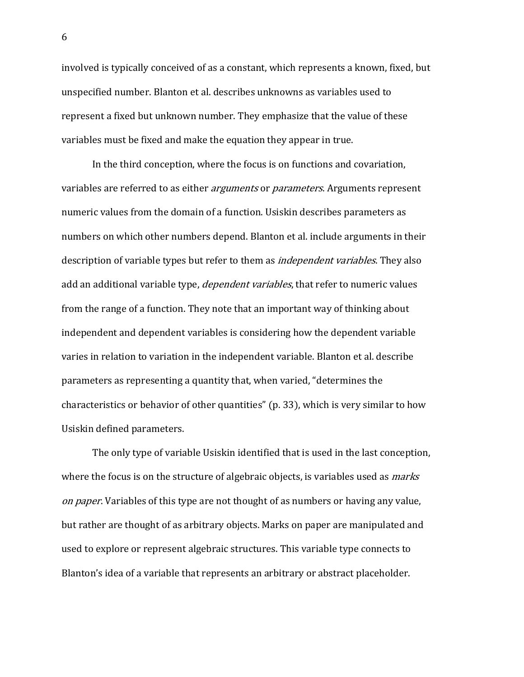involved is typically conceived of as a constant, which represents a known, fixed, but unspecified number. Blanton et al. describes unknowns as variables used to represent a fixed but unknown number. They emphasize that the value of these variables must be fixed and make the equation they appear in true.

In the third conception, where the focus is on functions and covariation, variables are referred to as either *arguments* or *parameters*. Arguments represent numeric values from the domain of a function. Usiskin describes parameters as numbers on which other numbers depend. Blanton et al. include arguments in their description of variable types but refer to them as *independent variables*. They also add an additional variable type, *dependent variables*, that refer to numeric values from the range of a function. They note that an important way of thinking about independent and dependent variables is considering how the dependent variable varies in relation to variation in the independent variable. Blanton et al. describe parameters as representing a quantity that, when varied, "determines the characteristics or behavior of other quantities" (p. 33), which is very similar to how Usiskin defined parameters.

The only type of variable Usiskin identified that is used in the last conception, where the focus is on the structure of algebraic objects, is variables used as *marks* on paper. Variables of this type are not thought of as numbers or having any value, but rather are thought of as arbitrary objects. Marks on paper are manipulated and used to explore or represent algebraic structures. This variable type connects to Blanton's idea of a variable that represents an arbitrary or abstract placeholder.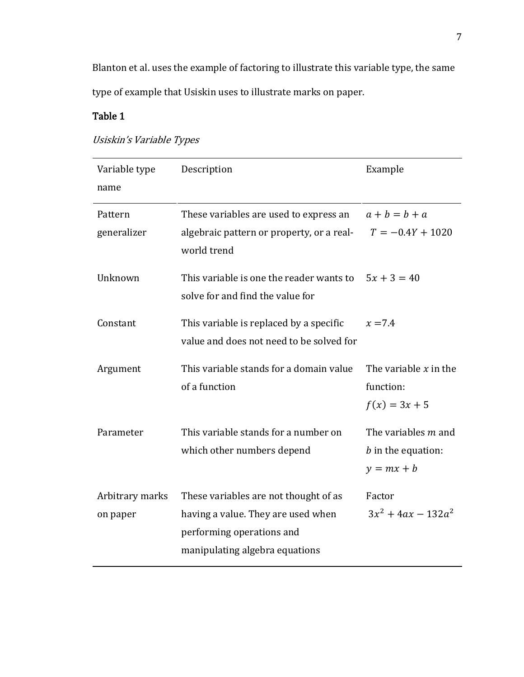Blanton et al. uses the example of factoring to illustrate this variable type, the same type of example that Usiskin uses to illustrate marks on paper.

## Table 1

|  |  |  |  |  | Usiskin's Variable Types |
|--|--|--|--|--|--------------------------|
|--|--|--|--|--|--------------------------|

| Variable type<br>name       | Description                                                                                                                                | Example                                                     |
|-----------------------------|--------------------------------------------------------------------------------------------------------------------------------------------|-------------------------------------------------------------|
| Pattern<br>generalizer      | These variables are used to express an<br>algebraic pattern or property, or a real-<br>world trend                                         | $a+b=b+a$<br>$T = -0.4Y + 1020$                             |
| Unknown                     | This variable is one the reader wants to<br>solve for and find the value for                                                               | $5x + 3 = 40$                                               |
| Constant                    | This variable is replaced by a specific<br>value and does not need to be solved for                                                        | $x = 7.4$                                                   |
| Argument                    | This variable stands for a domain value<br>of a function                                                                                   | The variable $x$ in the<br>function:<br>$f(x) = 3x + 5$     |
| Parameter                   | This variable stands for a number on<br>which other numbers depend                                                                         | The variables m and<br>$b$ in the equation:<br>$y = mx + b$ |
| Arbitrary marks<br>on paper | These variables are not thought of as<br>having a value. They are used when<br>performing operations and<br>manipulating algebra equations | Factor<br>$3x^2 + 4ax - 132a^2$                             |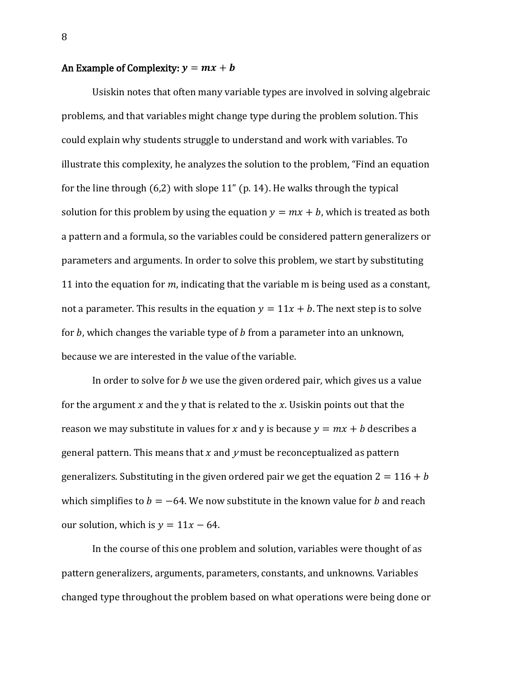## An Example of Complexity:  $y = mx + b$

Usiskin notes that often many variable types are involved in solving algebraic problems, and that variables might change type during the problem solution. This could explain why students struggle to understand and work with variables. To illustrate this complexity, he analyzes the solution to the problem, "Find an equation for the line through (6,2) with slope 11" (p. 14). He walks through the typical solution for this problem by using the equation  $y = mx + b$ , which is treated as both a pattern and a formula, so the variables could be considered pattern generalizers or parameters and arguments. In order to solve this problem, we start by substituting 11 into the equation for  $m$ , indicating that the variable m is being used as a constant, not a parameter. This results in the equation  $y = 11x + b$ . The next step is to solve for  $b$ , which changes the variable type of  $b$  from a parameter into an unknown, because we are interested in the value of the variable.

In order to solve for  $b$  we use the given ordered pair, which gives us a value for the argument  $x$  and the y that is related to the  $x$ . Usiskin points out that the reason we may substitute in values for x and y is because  $y = mx + b$  describes a general pattern. This means that  $x$  and  $y$  must be reconceptualized as pattern generalizers. Substituting in the given ordered pair we get the equation  $2 = 116 + b$ which simplifies to  $b = -64$ . We now substitute in the known value for b and reach our solution, which is  $y = 11x - 64$ .

In the course of this one problem and solution, variables were thought of as pattern generalizers, arguments, parameters, constants, and unknowns. Variables changed type throughout the problem based on what operations were being done or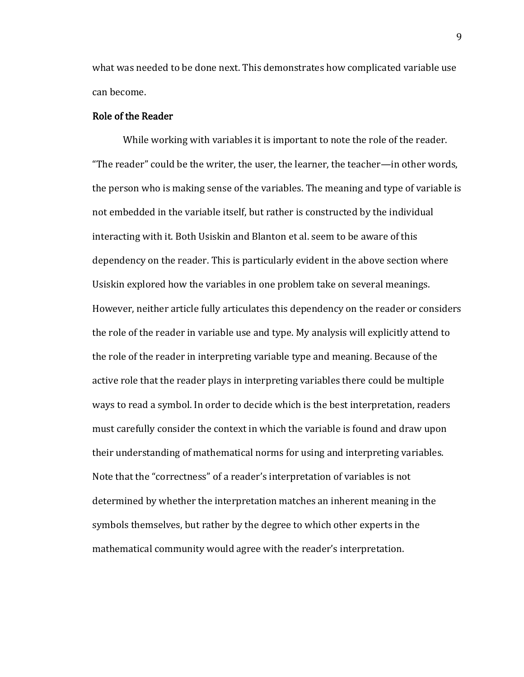what was needed to be done next. This demonstrates how complicated variable use can become.

## Role of the Reader

While working with variables it is important to note the role of the reader. "The reader" could be the writer, the user, the learner, the teacher—in other words, the person who is making sense of the variables. The meaning and type of variable is not embedded in the variable itself, but rather is constructed by the individual interacting with it. Both Usiskin and Blanton et al. seem to be aware of this dependency on the reader. This is particularly evident in the above section where Usiskin explored how the variables in one problem take on several meanings. However, neither article fully articulates this dependency on the reader or considers the role of the reader in variable use and type. My analysis will explicitly attend to the role of the reader in interpreting variable type and meaning. Because of the active role that the reader plays in interpreting variables there could be multiple ways to read a symbol. In order to decide which is the best interpretation, readers must carefully consider the context in which the variable is found and draw upon their understanding of mathematical norms for using and interpreting variables. Note that the "correctness" of a reader's interpretation of variables is not determined by whether the interpretation matches an inherent meaning in the symbols themselves, but rather by the degree to which other experts in the mathematical community would agree with the reader's interpretation.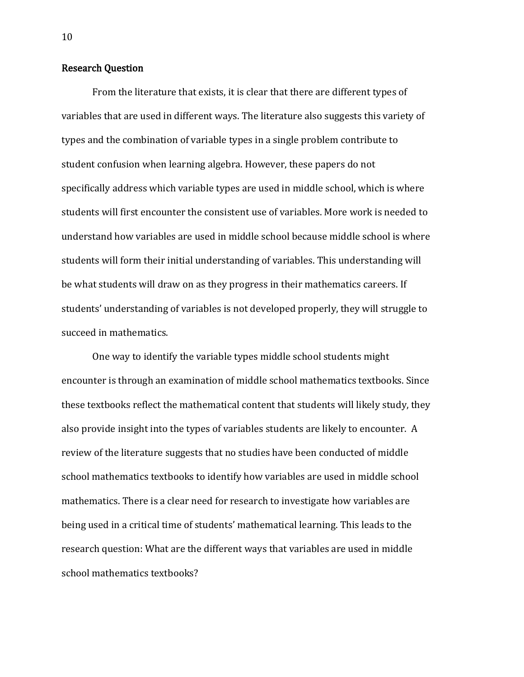## Research Question

 From the literature that exists, it is clear that there are different types of variables that are used in different ways. The literature also suggests this variety of types and the combination of variable types in a single problem contribute to student confusion when learning algebra. However, these papers do not specifically address which variable types are used in middle school, which is where students will first encounter the consistent use of variables. More work is needed to understand how variables are used in middle school because middle school is where students will form their initial understanding of variables. This understanding will be what students will draw on as they progress in their mathematics careers. If students' understanding of variables is not developed properly, they will struggle to succeed in mathematics.

One way to identify the variable types middle school students might encounter is through an examination of middle school mathematics textbooks. Since these textbooks reflect the mathematical content that students will likely study, they also provide insight into the types of variables students are likely to encounter. A review of the literature suggests that no studies have been conducted of middle school mathematics textbooks to identify how variables are used in middle school mathematics. There is a clear need for research to investigate how variables are being used in a critical time of students' mathematical learning. This leads to the research question: What are the different ways that variables are used in middle school mathematics textbooks?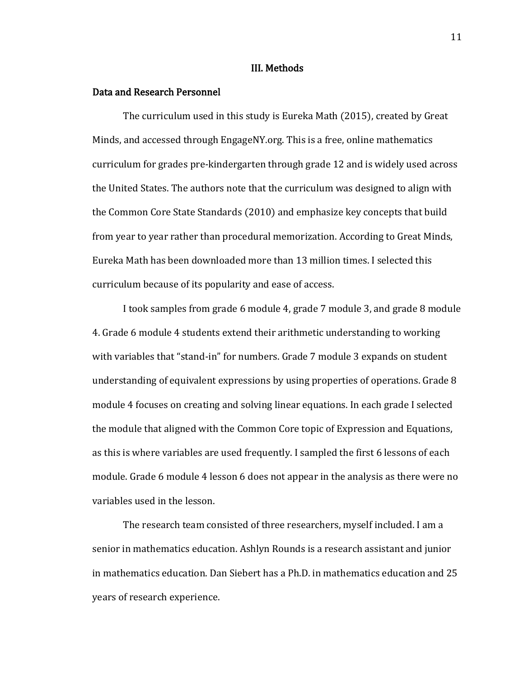#### III. Methods

## Data and Research Personnel

The curriculum used in this study is Eureka Math (2015), created by Great Minds, and accessed through EngageNY.org. This is a free, online mathematics curriculum for grades pre-kindergarten through grade 12 and is widely used across the United States. The authors note that the curriculum was designed to align with the Common Core State Standards (2010) and emphasize key concepts that build from year to year rather than procedural memorization. According to Great Minds, Eureka Math has been downloaded more than 13 million times. I selected this curriculum because of its popularity and ease of access.

I took samples from grade 6 module 4, grade 7 module 3, and grade 8 module 4. Grade 6 module 4 students extend their arithmetic understanding to working with variables that "stand-in" for numbers. Grade 7 module 3 expands on student understanding of equivalent expressions by using properties of operations. Grade 8 module 4 focuses on creating and solving linear equations. In each grade I selected the module that aligned with the Common Core topic of Expression and Equations, as this is where variables are used frequently. I sampled the first 6 lessons of each module. Grade 6 module 4 lesson 6 does not appear in the analysis as there were no variables used in the lesson.

The research team consisted of three researchers, myself included. I am a senior in mathematics education. Ashlyn Rounds is a research assistant and junior in mathematics education. Dan Siebert has a Ph.D. in mathematics education and 25 years of research experience.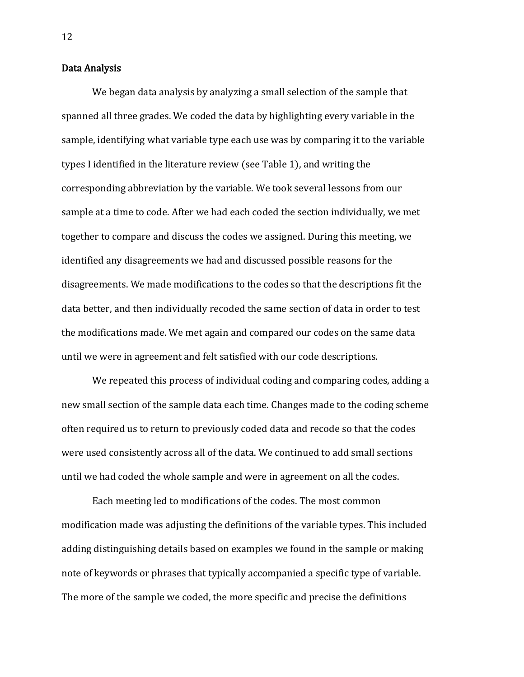## Data Analysis

We began data analysis by analyzing a small selection of the sample that spanned all three grades. We coded the data by highlighting every variable in the sample, identifying what variable type each use was by comparing it to the variable types I identified in the literature review (see Table 1), and writing the corresponding abbreviation by the variable. We took several lessons from our sample at a time to code. After we had each coded the section individually, we met together to compare and discuss the codes we assigned. During this meeting, we identified any disagreements we had and discussed possible reasons for the disagreements. We made modifications to the codes so that the descriptions fit the data better, and then individually recoded the same section of data in order to test the modifications made. We met again and compared our codes on the same data until we were in agreement and felt satisfied with our code descriptions.

We repeated this process of individual coding and comparing codes, adding a new small section of the sample data each time. Changes made to the coding scheme often required us to return to previously coded data and recode so that the codes were used consistently across all of the data. We continued to add small sections until we had coded the whole sample and were in agreement on all the codes.

Each meeting led to modifications of the codes. The most common modification made was adjusting the definitions of the variable types. This included adding distinguishing details based on examples we found in the sample or making note of keywords or phrases that typically accompanied a specific type of variable. The more of the sample we coded, the more specific and precise the definitions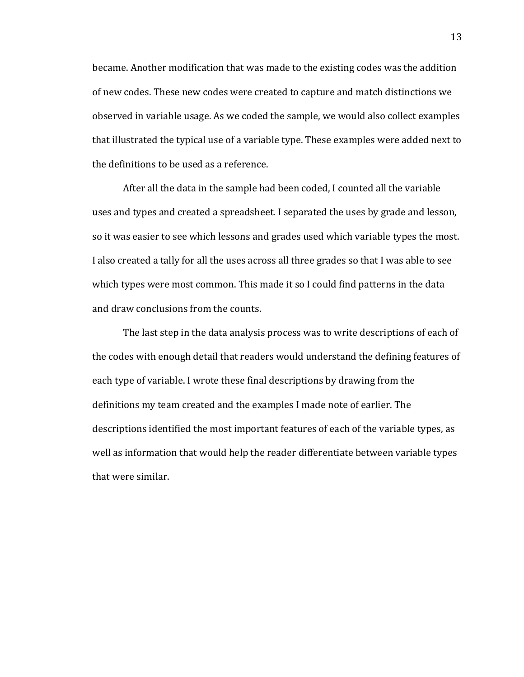became. Another modification that was made to the existing codes was the addition of new codes. These new codes were created to capture and match distinctions we observed in variable usage. As we coded the sample, we would also collect examples that illustrated the typical use of a variable type. These examples were added next to the definitions to be used as a reference.

After all the data in the sample had been coded, I counted all the variable uses and types and created a spreadsheet. I separated the uses by grade and lesson, so it was easier to see which lessons and grades used which variable types the most. I also created a tally for all the uses across all three grades so that I was able to see which types were most common. This made it so I could find patterns in the data and draw conclusions from the counts.

The last step in the data analysis process was to write descriptions of each of the codes with enough detail that readers would understand the defining features of each type of variable. I wrote these final descriptions by drawing from the definitions my team created and the examples I made note of earlier. The descriptions identified the most important features of each of the variable types, as well as information that would help the reader differentiate between variable types that were similar.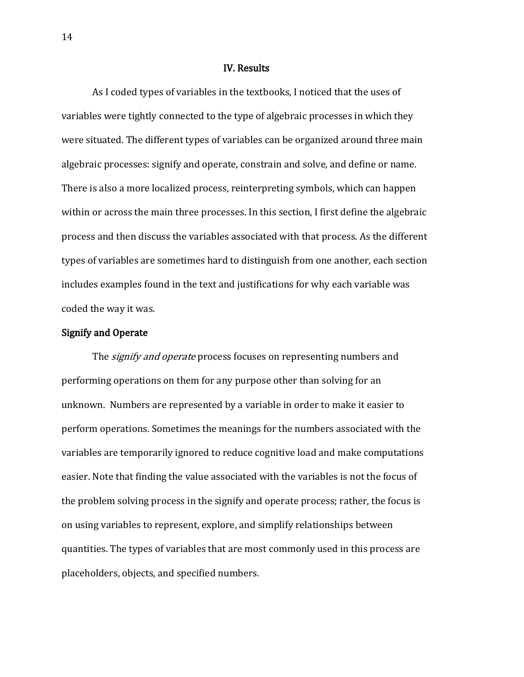#### IV. Results

As I coded types of variables in the textbooks, I noticed that the uses of variables were tightly connected to the type of algebraic processes in which they were situated. The different types of variables can be organized around three main algebraic processes: signify and operate, constrain and solve, and define or name. There is also a more localized process, reinterpreting symbols, which can happen within or across the main three processes. In this section, I first define the algebraic process and then discuss the variables associated with that process. As the different types of variables are sometimes hard to distinguish from one another, each section includes examples found in the text and justifications for why each variable was coded the way it was.

#### Signify and Operate

The *signify and operate* process focuses on representing numbers and performing operations on them for any purpose other than solving for an unknown. Numbers are represented by a variable in order to make it easier to perform operations. Sometimes the meanings for the numbers associated with the variables are temporarily ignored to reduce cognitive load and make computations easier. Note that finding the value associated with the variables is not the focus of the problem solving process in the signify and operate process; rather, the focus is on using variables to represent, explore, and simplify relationships between quantities. The types of variables that are most commonly used in this process are placeholders, objects, and specified numbers.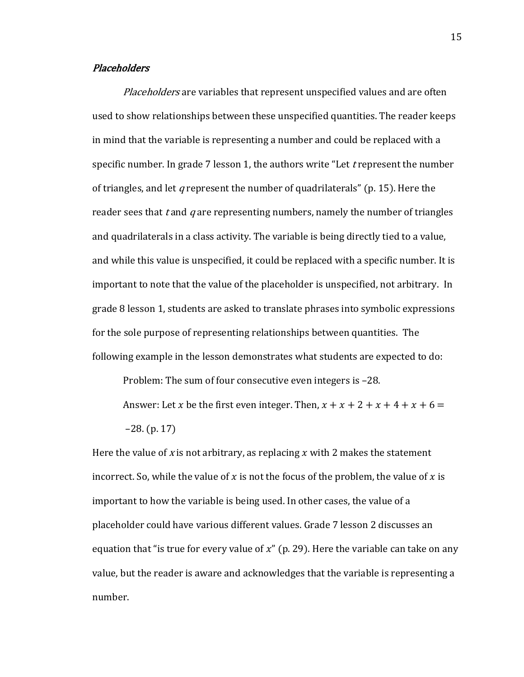## Placeholders

Placeholders are variables that represent unspecified values and are often used to show relationships between these unspecified quantities. The reader keeps in mind that the variable is representing a number and could be replaced with a specific number. In grade 7 lesson 1, the authors write "Let  $t$  represent the number of triangles, and let q represent the number of quadrilaterals" (p. 15). Here the reader sees that t and  $q$  are representing numbers, namely the number of triangles and quadrilaterals in a class activity. The variable is being directly tied to a value, and while this value is unspecified, it could be replaced with a specific number. It is important to note that the value of the placeholder is unspecified, not arbitrary. In grade 8 lesson 1, students are asked to translate phrases into symbolic expressions for the sole purpose of representing relationships between quantities. The following example in the lesson demonstrates what students are expected to do:

Problem: The sum of four consecutive even integers is –28.

Answer: Let x be the first even integer. Then,  $x + x + 2 + x + 4 + x + 6 =$ –28. (p. 17)

Here the value of x is not arbitrary, as replacing x with 2 makes the statement incorrect. So, while the value of x is not the focus of the problem, the value of x is important to how the variable is being used. In other cases, the value of a placeholder could have various different values. Grade 7 lesson 2 discusses an equation that "is true for every value of  $x$ " (p. 29). Here the variable can take on any value, but the reader is aware and acknowledges that the variable is representing a number.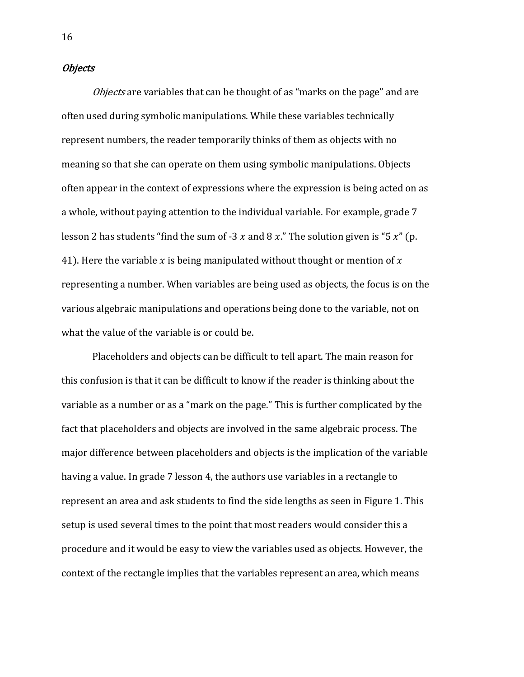## **Objects**

Objects are variables that can be thought of as "marks on the page" and are often used during symbolic manipulations. While these variables technically represent numbers, the reader temporarily thinks of them as objects with no meaning so that she can operate on them using symbolic manipulations. Objects often appear in the context of expressions where the expression is being acted on as a whole, without paying attention to the individual variable. For example, grade 7 lesson 2 has students "find the sum of -3  $x$  and 8  $x$ ." The solution given is "5  $x$ " (p. 41). Here the variable x is being manipulated without thought or mention of x representing a number. When variables are being used as objects, the focus is on the various algebraic manipulations and operations being done to the variable, not on what the value of the variable is or could be.

Placeholders and objects can be difficult to tell apart. The main reason for this confusion is that it can be difficult to know if the reader is thinking about the variable as a number or as a "mark on the page." This is further complicated by the fact that placeholders and objects are involved in the same algebraic process. The major difference between placeholders and objects is the implication of the variable having a value. In grade 7 lesson 4, the authors use variables in a rectangle to represent an area and ask students to find the side lengths as seen in Figure 1. This setup is used several times to the point that most readers would consider this a procedure and it would be easy to view the variables used as objects. However, the context of the rectangle implies that the variables represent an area, which means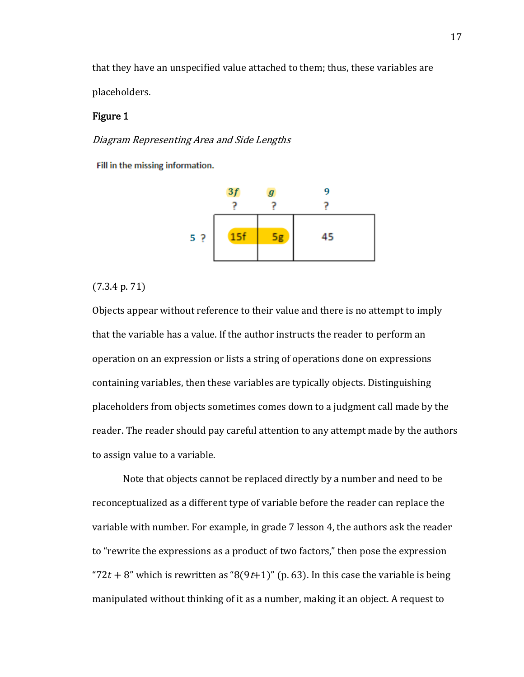that they have an unspecified value attached to them; thus, these variables are placeholders.

## Figure 1

Diagram Representing Area and Side Lengths

Fill in the missing information.



(7.3.4 p. 71)

Objects appear without reference to their value and there is no attempt to imply that the variable has a value. If the author instructs the reader to perform an operation on an expression or lists a string of operations done on expressions containing variables, then these variables are typically objects. Distinguishing placeholders from objects sometimes comes down to a judgment call made by the reader. The reader should pay careful attention to any attempt made by the authors to assign value to a variable.

Note that objects cannot be replaced directly by a number and need to be reconceptualized as a different type of variable before the reader can replace the variable with number. For example, in grade 7 lesson 4, the authors ask the reader to "rewrite the expressions as a product of two factors," then pose the expression "72t + 8" which is rewritten as "8(9t+1)" (p. 63). In this case the variable is being manipulated without thinking of it as a number, making it an object. A request to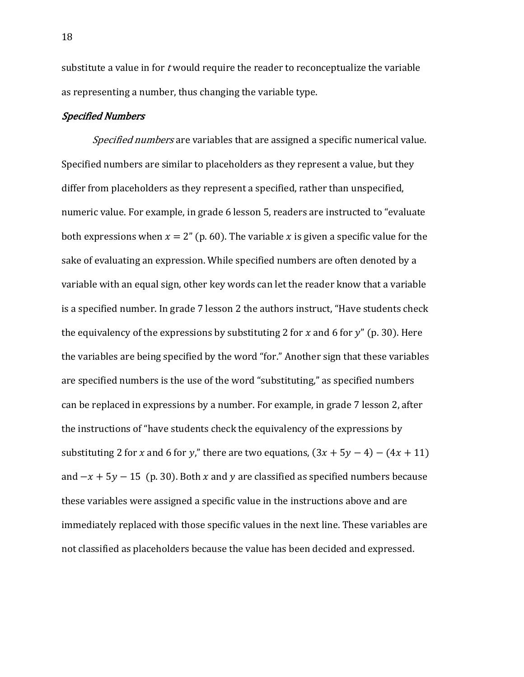substitute a value in for *t* would require the reader to reconceptualize the variable as representing a number, thus changing the variable type.

## Specified Numbers

Specified numbers are variables that are assigned a specific numerical value. Specified numbers are similar to placeholders as they represent a value, but they differ from placeholders as they represent a specified, rather than unspecified, numeric value. For example, in grade 6 lesson 5, readers are instructed to "evaluate both expressions when  $x = 2$ " (p. 60). The variable x is given a specific value for the sake of evaluating an expression. While specified numbers are often denoted by a variable with an equal sign, other key words can let the reader know that a variable is a specified number. In grade 7 lesson 2 the authors instruct, "Have students check the equivalency of the expressions by substituting 2 for x and 6 for  $y''$  (p. 30). Here the variables are being specified by the word "for." Another sign that these variables are specified numbers is the use of the word "substituting," as specified numbers can be replaced in expressions by a number. For example, in grade 7 lesson 2, after the instructions of "have students check the equivalency of the expressions by substituting 2 for x and 6 for y," there are two equations,  $(3x + 5y - 4) - (4x + 11)$ and  $-x + 5y - 15$  (p. 30). Both x and y are classified as specified numbers because these variables were assigned a specific value in the instructions above and are immediately replaced with those specific values in the next line. These variables are not classified as placeholders because the value has been decided and expressed.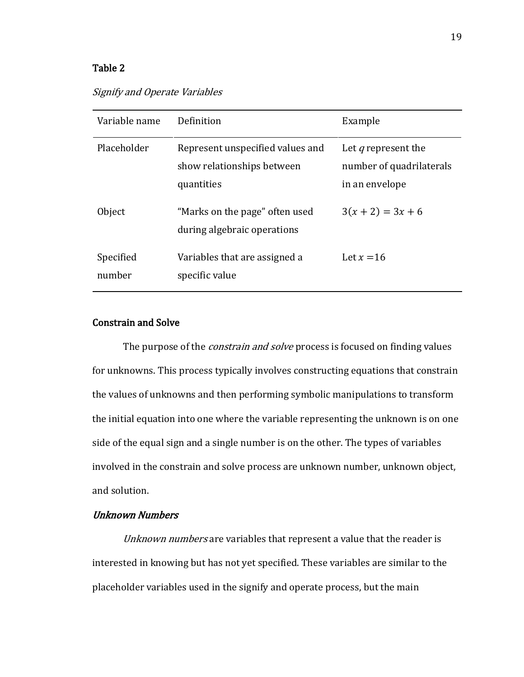## Table 2

## Signify and Operate Variables

| Variable name       | Definition                                                                   | Example                                                                  |
|---------------------|------------------------------------------------------------------------------|--------------------------------------------------------------------------|
| Placeholder         | Represent unspecified values and<br>show relationships between<br>quantities | Let <i>q</i> represent the<br>number of quadrilaterals<br>in an envelope |
| Object              | "Marks on the page" often used<br>during algebraic operations                | $3(x+2) = 3x + 6$                                                        |
| Specified<br>number | Variables that are assigned a<br>specific value                              | Let $x = 16$                                                             |

## Constrain and Solve

The purpose of the *constrain and solve* process is focused on finding values for unknowns. This process typically involves constructing equations that constrain the values of unknowns and then performing symbolic manipulations to transform the initial equation into one where the variable representing the unknown is on one side of the equal sign and a single number is on the other. The types of variables involved in the constrain and solve process are unknown number, unknown object, and solution.

## Unknown Numbers

Unknown numbers are variables that represent a value that the reader is interested in knowing but has not yet specified. These variables are similar to the placeholder variables used in the signify and operate process, but the main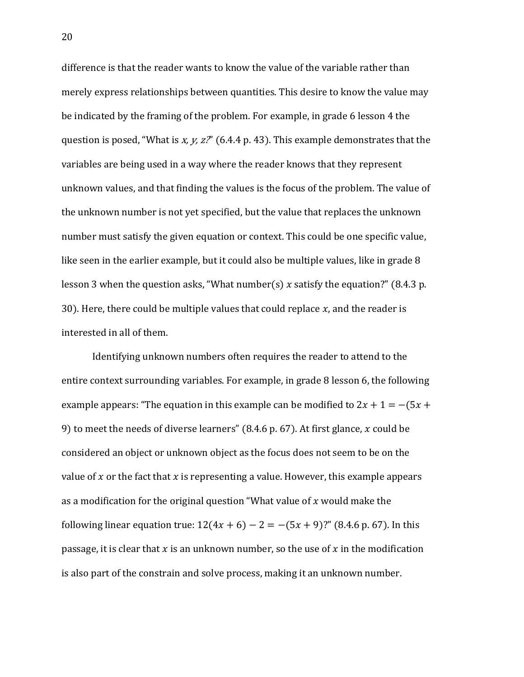difference is that the reader wants to know the value of the variable rather than merely express relationships between quantities. This desire to know the value may be indicated by the framing of the problem. For example, in grade 6 lesson 4 the question is posed, "What is  $x, y, z$ " (6.4.4 p. 43). This example demonstrates that the variables are being used in a way where the reader knows that they represent unknown values, and that finding the values is the focus of the problem. The value of the unknown number is not yet specified, but the value that replaces the unknown number must satisfy the given equation or context. This could be one specific value, like seen in the earlier example, but it could also be multiple values, like in grade 8 lesson 3 when the question asks, "What number(s) x satisfy the equation?" (8.4.3 p. 30). Here, there could be multiple values that could replace  $x$ , and the reader is interested in all of them.

Identifying unknown numbers often requires the reader to attend to the entire context surrounding variables. For example, in grade 8 lesson 6, the following example appears: "The equation in this example can be modified to  $2x + 1 = -(5x +$ 9) to meet the needs of diverse learners" (8.4.6 p. 67). At first glance,  $x$  could be considered an object or unknown object as the focus does not seem to be on the value of  $x$  or the fact that  $x$  is representing a value. However, this example appears as a modification for the original question "What value of  $x$  would make the following linear equation true:  $12(4x + 6) - 2 = -(5x + 9)$ ?" (8.4.6 p. 67). In this passage, it is clear that x is an unknown number, so the use of x in the modification is also part of the constrain and solve process, making it an unknown number.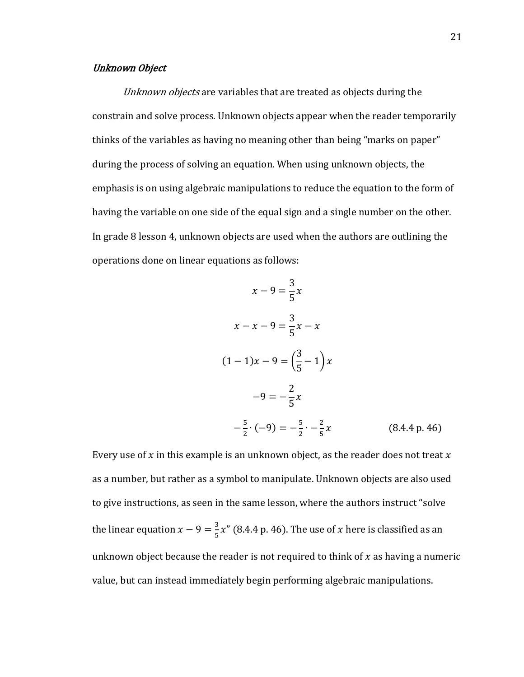## Unknown Object

Unknown objects are variables that are treated as objects during the constrain and solve process. Unknown objects appear when the reader temporarily thinks of the variables as having no meaning other than being "marks on paper" during the process of solving an equation. When using unknown objects, the emphasis is on using algebraic manipulations to reduce the equation to the form of having the variable on one side of the equal sign and a single number on the other. In grade 8 lesson 4, unknown objects are used when the authors are outlining the operations done on linear equations as follows:

$$
x - 9 = \frac{3}{5}x
$$
  
\n
$$
x - x - 9 = \frac{3}{5}x - x
$$
  
\n
$$
(1 - 1)x - 9 = \left(\frac{3}{5} - 1\right)x
$$
  
\n
$$
-9 = -\frac{2}{5}x
$$
  
\n
$$
-\frac{5}{2} \cdot (-9) = -\frac{5}{2} \cdot -\frac{2}{5}x
$$
  
\n(8.4.4 p. 46)

Every use of  $x$  in this example is an unknown object, as the reader does not treat  $x$ as a number, but rather as a symbol to manipulate. Unknown objects are also used to give instructions, as seen in the same lesson, where the authors instruct "solve the linear equation  $x - 9 = \frac{3}{5}$  $\frac{5}{5}x''$  (8.4.4 p. 46). The use of x here is classified as an unknown object because the reader is not required to think of  $x$  as having a numeric value, but can instead immediately begin performing algebraic manipulations.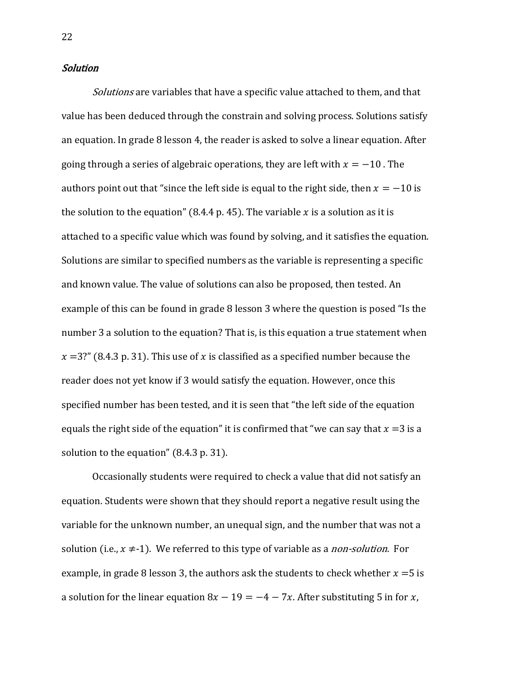## Solution

Solutions are variables that have a specific value attached to them, and that value has been deduced through the constrain and solving process. Solutions satisfy an equation. In grade 8 lesson 4, the reader is asked to solve a linear equation. After going through a series of algebraic operations, they are left with  $x = -10$ . The authors point out that "since the left side is equal to the right side, then  $x = -10$  is the solution to the equation" (8.4.4 p. 45). The variable  $x$  is a solution as it is attached to a specific value which was found by solving, and it satisfies the equation. Solutions are similar to specified numbers as the variable is representing a specific and known value. The value of solutions can also be proposed, then tested. An example of this can be found in grade 8 lesson 3 where the question is posed "Is the number 3 a solution to the equation? That is, is this equation a true statement when  $x=3$ ?" (8.4.3 p. 31). This use of x is classified as a specified number because the reader does not yet know if 3 would satisfy the equation. However, once this specified number has been tested, and it is seen that "the left side of the equation equals the right side of the equation" it is confirmed that "we can say that  $x = 3$  is a solution to the equation" (8.4.3 p. 31).

Occasionally students were required to check a value that did not satisfy an equation. Students were shown that they should report a negative result using the variable for the unknown number, an unequal sign, and the number that was not a solution (i.e.,  $x \neq -1$ ). We referred to this type of variable as a *non-solution*. For example, in grade 8 lesson 3, the authors ask the students to check whether  $x = 5$  is a solution for the linear equation  $8x - 19 = -4 - 7x$ . After substituting 5 in for x,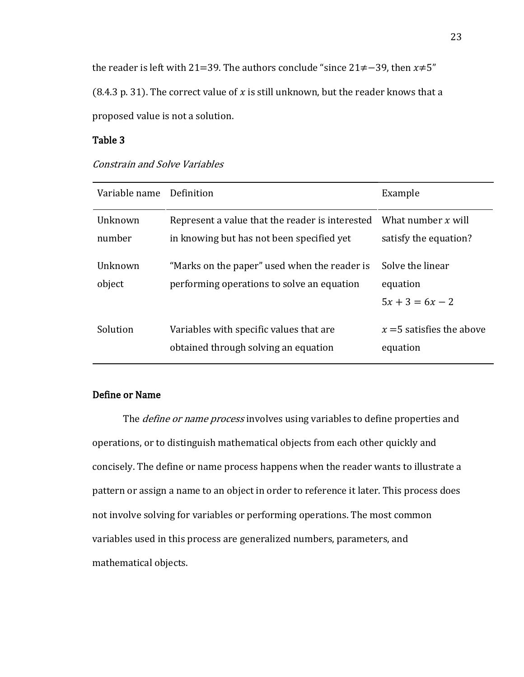the reader is left with 21=39. The authors conclude "since  $21\neq-39$ , then  $x\neq5$ " (8.4.3 p. 31). The correct value of x is still unknown, but the reader knows that a proposed value is not a solution.

## Table 3

| Variable name     | Definition                                                                                   | Example                                           |
|-------------------|----------------------------------------------------------------------------------------------|---------------------------------------------------|
| Unknown<br>number | Represent a value that the reader is interested<br>in knowing but has not been specified yet | What number $x$ will<br>satisfy the equation?     |
| Unknown<br>object | "Marks on the paper" used when the reader is<br>performing operations to solve an equation   | Solve the linear<br>equation<br>$5x + 3 = 6x - 2$ |
| Solution          | Variables with specific values that are<br>obtained through solving an equation              | $x = 5$ satisfies the above<br>equation           |

## Constrain and Solve Variables

## Define or Name

The *define or name process* involves using variables to define properties and operations, or to distinguish mathematical objects from each other quickly and concisely. The define or name process happens when the reader wants to illustrate a pattern or assign a name to an object in order to reference it later. This process does not involve solving for variables or performing operations. The most common variables used in this process are generalized numbers, parameters, and mathematical objects.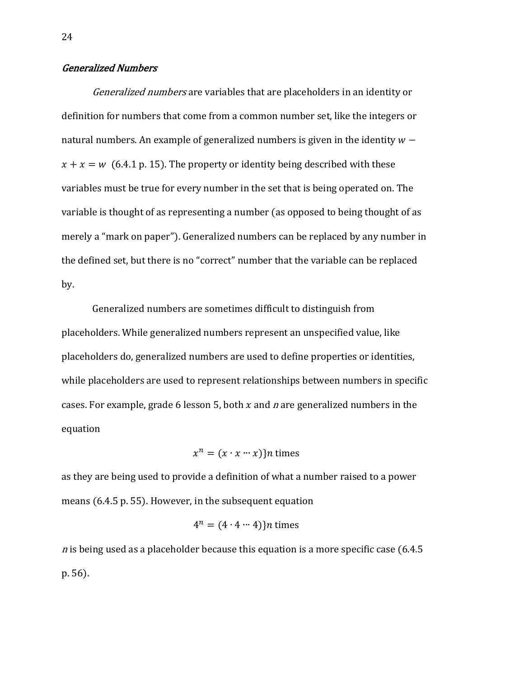## Generalized Numbers

Generalized numbers are variables that are placeholders in an identity or definition for numbers that come from a common number set, like the integers or natural numbers. An example of generalized numbers is given in the identity  $w$  $x + x = w$  (6.4.1 p. 15). The property or identity being described with these variables must be true for every number in the set that is being operated on. The variable is thought of as representing a number (as opposed to being thought of as merely a "mark on paper"). Generalized numbers can be replaced by any number in the defined set, but there is no "correct" number that the variable can be replaced by.

Generalized numbers are sometimes difficult to distinguish from placeholders. While generalized numbers represent an unspecified value, like placeholders do, generalized numbers are used to define properties or identities, while placeholders are used to represent relationships between numbers in specific cases. For example, grade 6 lesson 5, both  $x$  and  $n$  are generalized numbers in the equation

$$
x^n = (x \cdot x \cdots x)
$$

as they are being used to provide a definition of what a number raised to a power means (6.4.5 p. 55). However, in the subsequent equation

$$
4^n = (4 \cdot 4 \cdots 4) \} n \text{ times}
$$

*n* is being used as a placeholder because this equation is a more specific case  $(6.4.5$ p. 56).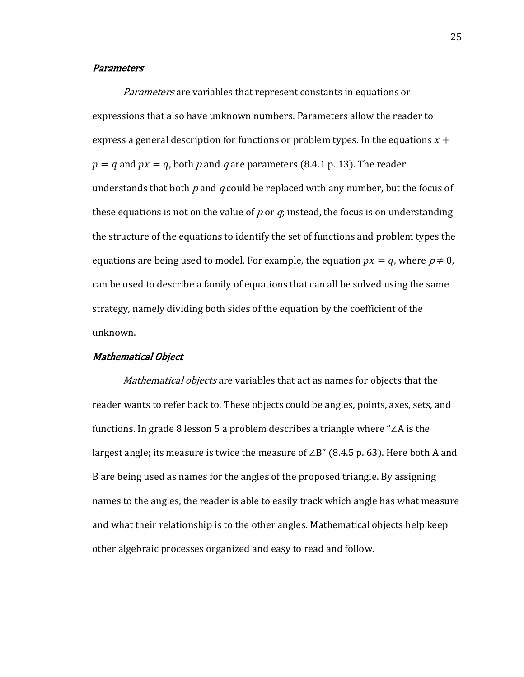#### **Parameters**

Parameters are variables that represent constants in equations or expressions that also have unknown numbers. Parameters allow the reader to express a general description for functions or problem types. In the equations  $x +$  $p = q$  and  $px = q$ , both p and q are parameters (8.4.1 p. 13). The reader understands that both  $p$  and  $q$  could be replaced with any number, but the focus of these equations is not on the value of p or  $q_i$  instead, the focus is on understanding the structure of the equations to identify the set of functions and problem types the equations are being used to model. For example, the equation  $px = q$ , where  $p \neq 0$ , can be used to describe a family of equations that can all be solved using the same strategy, namely dividing both sides of the equation by the coefficient of the unknown.

## Mathematical Object

Mathematical objects are variables that act as names for objects that the reader wants to refer back to. These objects could be angles, points, axes, sets, and functions. In grade 8 lesson 5 a problem describes a triangle where "∠A is the largest angle; its measure is twice the measure of ∠B" (8.4.5 p. 63). Here both A and B are being used as names for the angles of the proposed triangle. By assigning names to the angles, the reader is able to easily track which angle has what measure and what their relationship is to the other angles. Mathematical objects help keep other algebraic processes organized and easy to read and follow.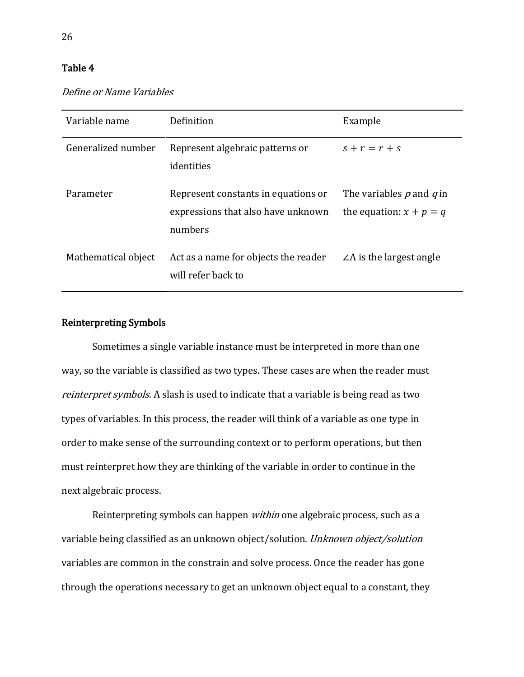## Table 4

| Define or Name Variables |  |
|--------------------------|--|
|--------------------------|--|

| Variable name       | Definition                                                                           | Example                                                   |
|---------------------|--------------------------------------------------------------------------------------|-----------------------------------------------------------|
| Generalized number  | Represent algebraic patterns or<br>identities                                        | $s+r=r+s$                                                 |
| Parameter           | Represent constants in equations or<br>expressions that also have unknown<br>numbers | The variables $p$ and $q$ in<br>the equation: $x + p = q$ |
| Mathematical object | Act as a name for objects the reader<br>will refer back to                           | $\angle A$ is the largest angle                           |

## Reinterpreting Symbols

Sometimes a single variable instance must be interpreted in more than one way, so the variable is classified as two types. These cases are when the reader must reinterpret symbols. A slash is used to indicate that a variable is being read as two types of variables. In this process, the reader will think of a variable as one type in order to make sense of the surrounding context or to perform operations, but then must reinterpret how they are thinking of the variable in order to continue in the next algebraic process.

Reinterpreting symbols can happen *within* one algebraic process, such as a variable being classified as an unknown object/solution. Unknown object/solution variables are common in the constrain and solve process. Once the reader has gone through the operations necessary to get an unknown object equal to a constant, they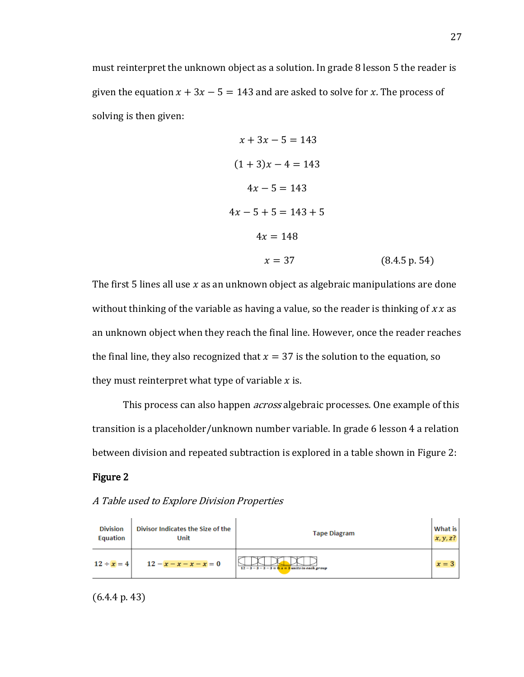must reinterpret the unknown object as a solution. In grade 8 lesson 5 the reader is given the equation  $x + 3x - 5 = 143$  and are asked to solve for x. The process of solving is then given:

$$
x + 3x - 5 = 143
$$
  
(1 + 3)x - 4 = 143  

$$
4x - 5 = 143
$$
  

$$
4x - 5 + 5 = 143 + 5
$$

$$
4x = 148
$$
  

$$
x = 37
$$
 (8.4.5 p. 54)

The first 5 lines all use  $x$  as an unknown object as algebraic manipulations are done without thinking of the variable as having a value, so the reader is thinking of  $xx$  as an unknown object when they reach the final line. However, once the reader reaches the final line, they also recognized that  $x = 37$  is the solution to the equation, so they must reinterpret what type of variable  $x$  is.

This process can also happen *across* algebraic processes. One example of this transition is a placeholder/unknown number variable. In grade 6 lesson 4 a relation between division and repeated subtraction is explored in a table shown in Figure 2:

## Figure 2

| <b>Division</b> | Divisor Indicates the Size of the | <b>Tape Diagram</b>                                    | What is     |
|-----------------|-----------------------------------|--------------------------------------------------------|-------------|
| Equation        | Unit                              |                                                        | $x, y, z$ ? |
| $12 \div x = 4$ | $12 - x - x - x - x = 0$          | $12 - 3 - 3 - 3 - 3 = 0$ : $x = 3$ units in each group | $x=3$       |

## A Table used to Explore Division Properties

(6.4.4 p. 43)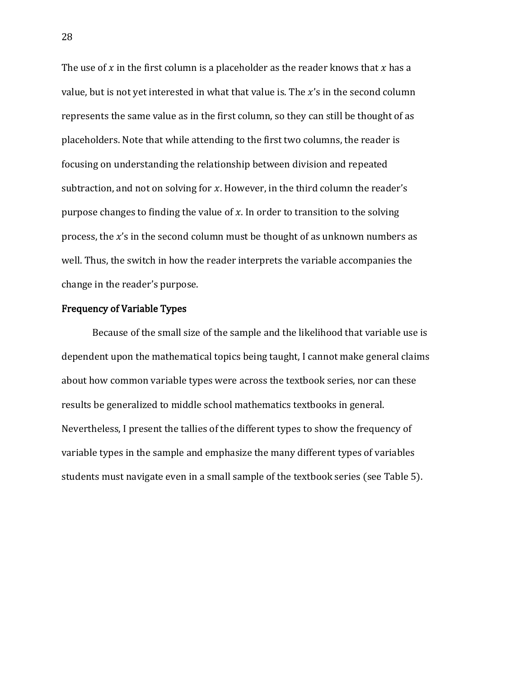The use of  $x$  in the first column is a placeholder as the reader knows that  $x$  has a value, but is not yet interested in what that value is. The  $x$ 's in the second column represents the same value as in the first column, so they can still be thought of as placeholders. Note that while attending to the first two columns, the reader is focusing on understanding the relationship between division and repeated subtraction, and not on solving for  $x$ . However, in the third column the reader's purpose changes to finding the value of  $x$ . In order to transition to the solving process, the  $x'$ s in the second column must be thought of as unknown numbers as well. Thus, the switch in how the reader interprets the variable accompanies the change in the reader's purpose.

## Frequency of Variable Types

Because of the small size of the sample and the likelihood that variable use is dependent upon the mathematical topics being taught, I cannot make general claims about how common variable types were across the textbook series, nor can these results be generalized to middle school mathematics textbooks in general. Nevertheless, I present the tallies of the different types to show the frequency of variable types in the sample and emphasize the many different types of variables students must navigate even in a small sample of the textbook series (see Table 5).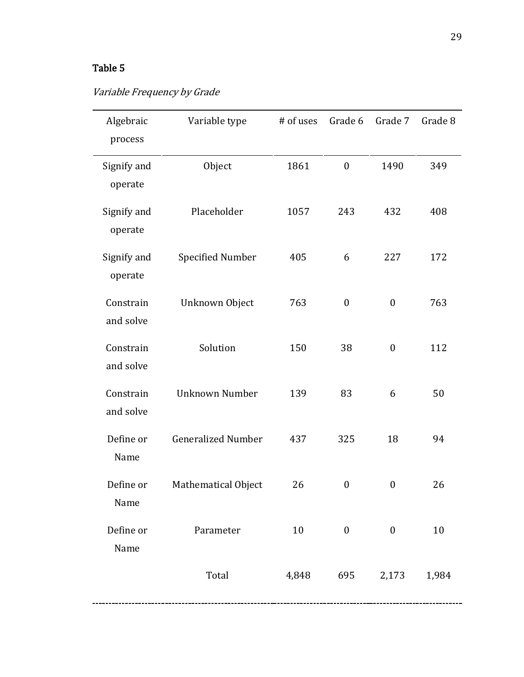## Table 5

## Variable Frequency by Grade

| Algebraic<br>process   | Variable type             | # of uses | Grade 6          | Grade 7          | Grade 8 |
|------------------------|---------------------------|-----------|------------------|------------------|---------|
| Signify and<br>operate | Object                    | 1861      | $\boldsymbol{0}$ | 1490             | 349     |
| Signify and<br>operate | Placeholder               | 1057      | 243              | 432              | 408     |
| Signify and<br>operate | <b>Specified Number</b>   | 405       | 6                | 227              | 172     |
| Constrain<br>and solve | Unknown Object            | 763       | $\boldsymbol{0}$ | $\boldsymbol{0}$ | 763     |
| Constrain<br>and solve | Solution                  | 150       | 38               | $\boldsymbol{0}$ | 112     |
| Constrain<br>and solve | <b>Unknown Number</b>     | 139       | 83               | 6                | 50      |
| Define or<br>Name      | <b>Generalized Number</b> | 437       | 325              | 18               | 94      |
| Define or<br>Name      | Mathematical Object       | 26        | $\boldsymbol{0}$ | $\boldsymbol{0}$ | 26      |
| Define or<br>Name      | Parameter                 | 10        | $\mathbf{0}$     | $\mathbf{0}$     | 10      |
|                        | Total                     |           | 4,848 695        | 2,173            | 1,984   |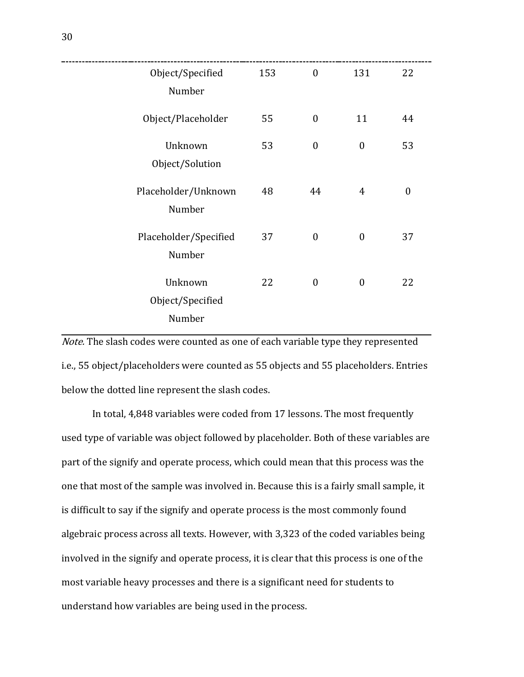| Object/Specified<br>Number            | 153 | $\boldsymbol{0}$ | 131              | 22               |
|---------------------------------------|-----|------------------|------------------|------------------|
| Object/Placeholder                    | 55  | $\boldsymbol{0}$ | 11               | 44               |
| Unknown<br>Object/Solution            | 53  | $\boldsymbol{0}$ | $\boldsymbol{0}$ | 53               |
| Placeholder/Unknown<br>Number         | 48  | 44               | $\overline{4}$   | $\boldsymbol{0}$ |
| Placeholder/Specified<br>Number       | 37  | $\boldsymbol{0}$ | $\boldsymbol{0}$ | 37               |
| Unknown<br>Object/Specified<br>Number | 22  | $\boldsymbol{0}$ | $\boldsymbol{0}$ | 22               |

Note. The slash codes were counted as one of each variable type they represented i.e., 55 object/placeholders were counted as 55 objects and 55 placeholders. Entries below the dotted line represent the slash codes.

In total, 4,848 variables were coded from 17 lessons. The most frequently used type of variable was object followed by placeholder. Both of these variables are part of the signify and operate process, which could mean that this process was the one that most of the sample was involved in. Because this is a fairly small sample, it is difficult to say if the signify and operate process is the most commonly found algebraic process across all texts. However, with 3,323 of the coded variables being involved in the signify and operate process, it is clear that this process is one of the most variable heavy processes and there is a significant need for students to understand how variables are being used in the process.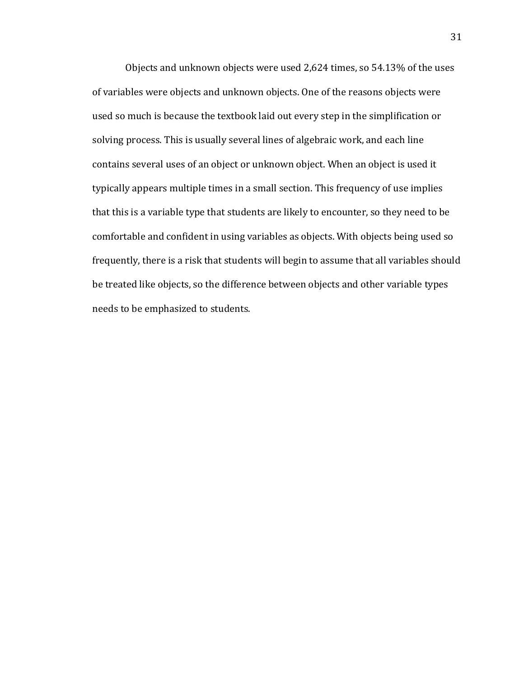Objects and unknown objects were used 2,624 times, so 54.13% of the uses of variables were objects and unknown objects. One of the reasons objects were used so much is because the textbook laid out every step in the simplification or solving process. This is usually several lines of algebraic work, and each line contains several uses of an object or unknown object. When an object is used it typically appears multiple times in a small section. This frequency of use implies that this is a variable type that students are likely to encounter, so they need to be comfortable and confident in using variables as objects. With objects being used so frequently, there is a risk that students will begin to assume that all variables should be treated like objects, so the difference between objects and other variable types needs to be emphasized to students.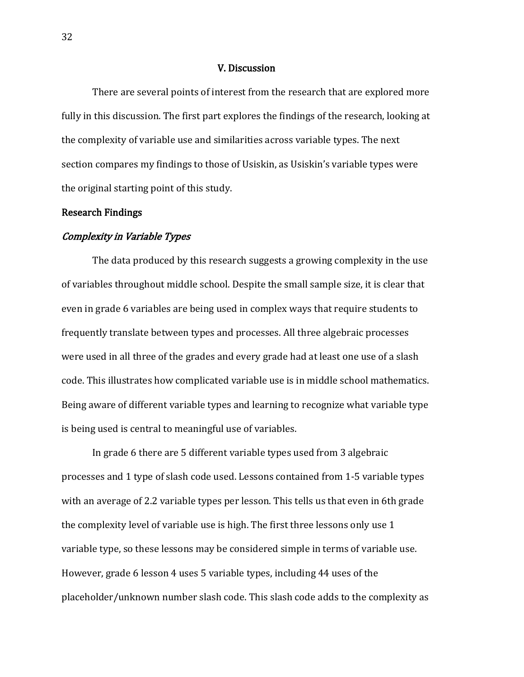#### V. Discussion

 There are several points of interest from the research that are explored more fully in this discussion. The first part explores the findings of the research, looking at the complexity of variable use and similarities across variable types. The next section compares my findings to those of Usiskin, as Usiskin's variable types were the original starting point of this study.

## Research Findings

## Complexity in Variable Types

 The data produced by this research suggests a growing complexity in the use of variables throughout middle school. Despite the small sample size, it is clear that even in grade 6 variables are being used in complex ways that require students to frequently translate between types and processes. All three algebraic processes were used in all three of the grades and every grade had at least one use of a slash code. This illustrates how complicated variable use is in middle school mathematics. Being aware of different variable types and learning to recognize what variable type is being used is central to meaningful use of variables.

In grade 6 there are 5 different variable types used from 3 algebraic processes and 1 type of slash code used. Lessons contained from 1-5 variable types with an average of 2.2 variable types per lesson. This tells us that even in 6th grade the complexity level of variable use is high. The first three lessons only use 1 variable type, so these lessons may be considered simple in terms of variable use. However, grade 6 lesson 4 uses 5 variable types, including 44 uses of the placeholder/unknown number slash code. This slash code adds to the complexity as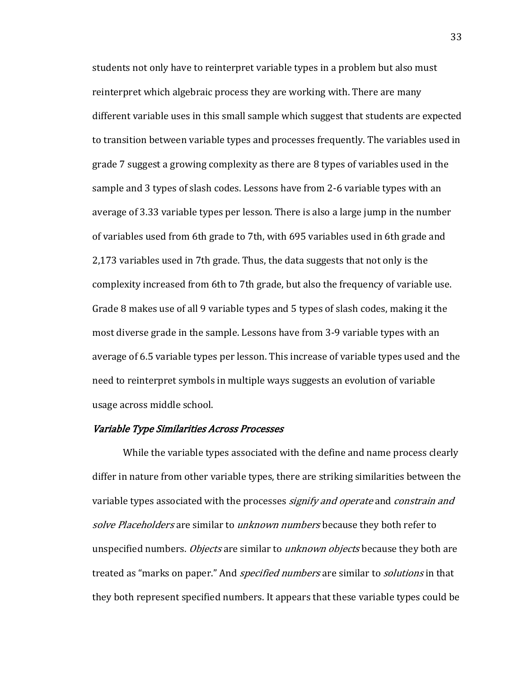students not only have to reinterpret variable types in a problem but also must reinterpret which algebraic process they are working with. There are many different variable uses in this small sample which suggest that students are expected to transition between variable types and processes frequently. The variables used in grade 7 suggest a growing complexity as there are 8 types of variables used in the sample and 3 types of slash codes. Lessons have from 2-6 variable types with an average of 3.33 variable types per lesson. There is also a large jump in the number of variables used from 6th grade to 7th, with 695 variables used in 6th grade and 2,173 variables used in 7th grade. Thus, the data suggests that not only is the complexity increased from 6th to 7th grade, but also the frequency of variable use. Grade 8 makes use of all 9 variable types and 5 types of slash codes, making it the most diverse grade in the sample. Lessons have from 3-9 variable types with an average of 6.5 variable types per lesson. This increase of variable types used and the need to reinterpret symbols in multiple ways suggests an evolution of variable usage across middle school.

## Variable Type Similarities Across Processes

While the variable types associated with the define and name process clearly differ in nature from other variable types, there are striking similarities between the variable types associated with the processes *signify and operate* and *constrain and* solve Placeholders are similar to unknown numbers because they both refer to unspecified numbers. *Objects* are similar to *unknown objects* because they both are treated as "marks on paper." And *specified numbers* are similar to *solutions* in that they both represent specified numbers. It appears that these variable types could be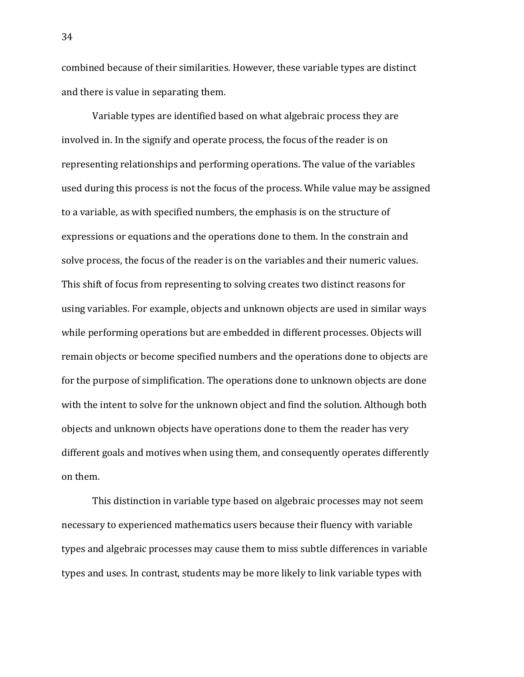combined because of their similarities. However, these variable types are distinct and there is value in separating them.

Variable types are identified based on what algebraic process they are involved in. In the signify and operate process, the focus of the reader is on representing relationships and performing operations. The value of the variables used during this process is not the focus of the process. While value may be assigned to a variable, as with specified numbers, the emphasis is on the structure of expressions or equations and the operations done to them. In the constrain and solve process, the focus of the reader is on the variables and their numeric values. This shift of focus from representing to solving creates two distinct reasons for using variables. For example, objects and unknown objects are used in similar ways while performing operations but are embedded in different processes. Objects will remain objects or become specified numbers and the operations done to objects are for the purpose of simplification. The operations done to unknown objects are done with the intent to solve for the unknown object and find the solution. Although both objects and unknown objects have operations done to them the reader has very different goals and motives when using them, and consequently operates differently on them.

This distinction in variable type based on algebraic processes may not seem necessary to experienced mathematics users because their fluency with variable types and algebraic processes may cause them to miss subtle differences in variable types and uses. In contrast, students may be more likely to link variable types with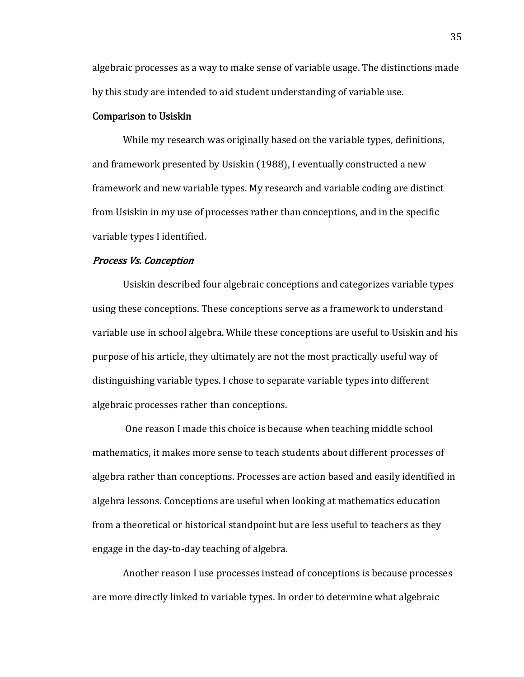algebraic processes as a way to make sense of variable usage. The distinctions made by this study are intended to aid student understanding of variable use.

## Comparison to Usiskin

While my research was originally based on the variable types, definitions, and framework presented by Usiskin (1988), I eventually constructed a new framework and new variable types. My research and variable coding are distinct from Usiskin in my use of processes rather than conceptions, and in the specific variable types I identified.

## Process Vs. Conception

Usiskin described four algebraic conceptions and categorizes variable types using these conceptions. These conceptions serve as a framework to understand variable use in school algebra. While these conceptions are useful to Usiskin and his purpose of his article, they ultimately are not the most practically useful way of distinguishing variable types. I chose to separate variable types into different algebraic processes rather than conceptions.

One reason I made this choice is because when teaching middle school mathematics, it makes more sense to teach students about different processes of algebra rather than conceptions. Processes are action based and easily identified in algebra lessons. Conceptions are useful when looking at mathematics education from a theoretical or historical standpoint but are less useful to teachers as they engage in the day-to-day teaching of algebra.

Another reason I use processes instead of conceptions is because processes are more directly linked to variable types. In order to determine what algebraic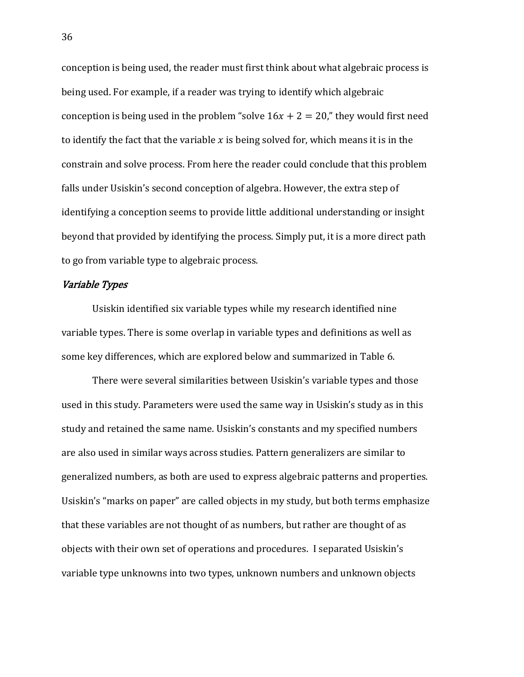conception is being used, the reader must first think about what algebraic process is being used. For example, if a reader was trying to identify which algebraic conception is being used in the problem "solve  $16x + 2 = 20$ ," they would first need to identify the fact that the variable  $x$  is being solved for, which means it is in the constrain and solve process. From here the reader could conclude that this problem falls under Usiskin's second conception of algebra. However, the extra step of identifying a conception seems to provide little additional understanding or insight beyond that provided by identifying the process. Simply put, it is a more direct path to go from variable type to algebraic process.

## Variable Types

 Usiskin identified six variable types while my research identified nine variable types. There is some overlap in variable types and definitions as well as some key differences, which are explored below and summarized in Table 6.

There were several similarities between Usiskin's variable types and those used in this study. Parameters were used the same way in Usiskin's study as in this study and retained the same name. Usiskin's constants and my specified numbers are also used in similar ways across studies. Pattern generalizers are similar to generalized numbers, as both are used to express algebraic patterns and properties. Usiskin's "marks on paper" are called objects in my study, but both terms emphasize that these variables are not thought of as numbers, but rather are thought of as objects with their own set of operations and procedures. I separated Usiskin's variable type unknowns into two types, unknown numbers and unknown objects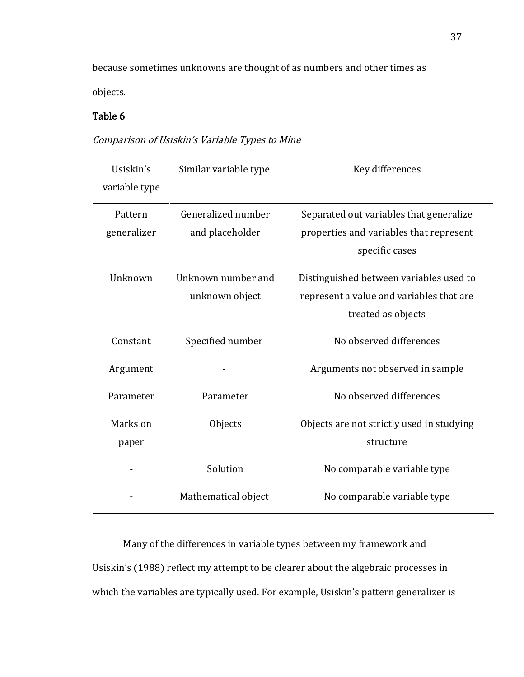because sometimes unknowns are thought of as numbers and other times as objects.

## Table 6

Comparison of Usiskin's Variable Types to Mine

| Usiskin's     | Similar variable type | Key differences                           |
|---------------|-----------------------|-------------------------------------------|
| variable type |                       |                                           |
|               |                       |                                           |
| Pattern       | Generalized number    | Separated out variables that generalize   |
| generalizer   | and placeholder       | properties and variables that represent   |
|               |                       | specific cases                            |
|               |                       |                                           |
| Unknown       | Unknown number and    | Distinguished between variables used to   |
|               | unknown object        | represent a value and variables that are  |
|               |                       | treated as objects                        |
|               |                       |                                           |
| Constant      | Specified number      | No observed differences                   |
| Argument      |                       | Arguments not observed in sample          |
|               |                       |                                           |
| Parameter     | Parameter             | No observed differences                   |
| Marks on      | Objects               | Objects are not strictly used in studying |
|               |                       |                                           |
| paper         |                       | structure                                 |
|               | Solution              | No comparable variable type               |
|               |                       |                                           |
|               | Mathematical object   | No comparable variable type               |
|               |                       |                                           |

Many of the differences in variable types between my framework and Usiskin's (1988) reflect my attempt to be clearer about the algebraic processes in which the variables are typically used. For example, Usiskin's pattern generalizer is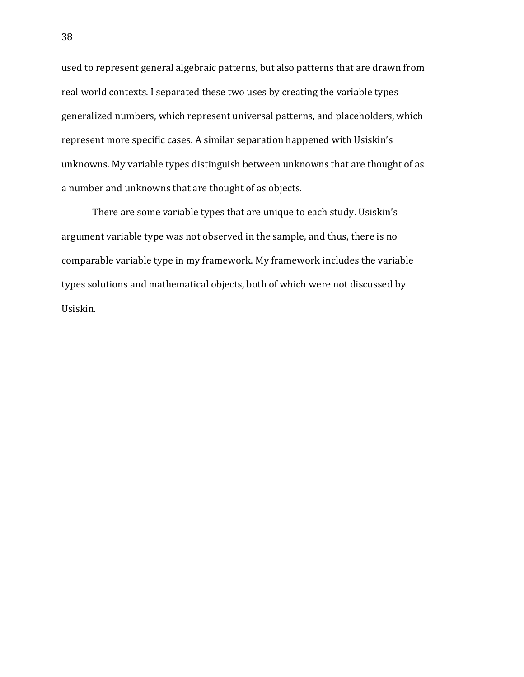used to represent general algebraic patterns, but also patterns that are drawn from real world contexts. I separated these two uses by creating the variable types generalized numbers, which represent universal patterns, and placeholders, which represent more specific cases. A similar separation happened with Usiskin's unknowns. My variable types distinguish between unknowns that are thought of as a number and unknowns that are thought of as objects.

There are some variable types that are unique to each study. Usiskin's argument variable type was not observed in the sample, and thus, there is no comparable variable type in my framework. My framework includes the variable types solutions and mathematical objects, both of which were not discussed by Usiskin.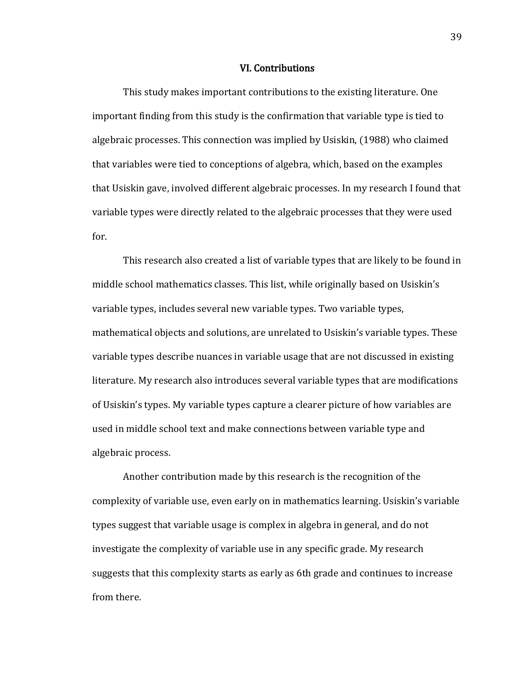#### VI. Contributions

This study makes important contributions to the existing literature. One important finding from this study is the confirmation that variable type is tied to algebraic processes. This connection was implied by Usiskin, (1988) who claimed that variables were tied to conceptions of algebra, which, based on the examples that Usiskin gave, involved different algebraic processes. In my research I found that variable types were directly related to the algebraic processes that they were used for.

This research also created a list of variable types that are likely to be found in middle school mathematics classes. This list, while originally based on Usiskin's variable types, includes several new variable types. Two variable types, mathematical objects and solutions, are unrelated to Usiskin's variable types. These variable types describe nuances in variable usage that are not discussed in existing literature. My research also introduces several variable types that are modifications of Usiskin's types. My variable types capture a clearer picture of how variables are used in middle school text and make connections between variable type and algebraic process.

Another contribution made by this research is the recognition of the complexity of variable use, even early on in mathematics learning. Usiskin's variable types suggest that variable usage is complex in algebra in general, and do not investigate the complexity of variable use in any specific grade. My research suggests that this complexity starts as early as 6th grade and continues to increase from there.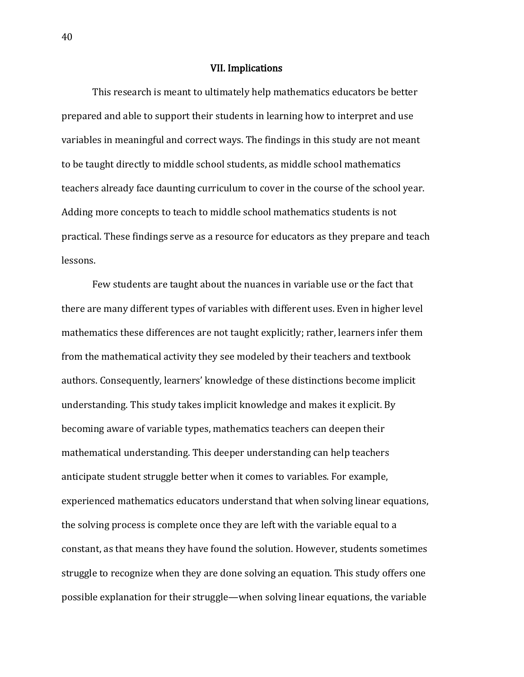#### VII. Implications

This research is meant to ultimately help mathematics educators be better prepared and able to support their students in learning how to interpret and use variables in meaningful and correct ways. The findings in this study are not meant to be taught directly to middle school students, as middle school mathematics teachers already face daunting curriculum to cover in the course of the school year. Adding more concepts to teach to middle school mathematics students is not practical. These findings serve as a resource for educators as they prepare and teach lessons.

Few students are taught about the nuances in variable use or the fact that there are many different types of variables with different uses. Even in higher level mathematics these differences are not taught explicitly; rather, learners infer them from the mathematical activity they see modeled by their teachers and textbook authors. Consequently, learners' knowledge of these distinctions become implicit understanding. This study takes implicit knowledge and makes it explicit. By becoming aware of variable types, mathematics teachers can deepen their mathematical understanding. This deeper understanding can help teachers anticipate student struggle better when it comes to variables. For example, experienced mathematics educators understand that when solving linear equations, the solving process is complete once they are left with the variable equal to a constant, as that means they have found the solution. However, students sometimes struggle to recognize when they are done solving an equation. This study offers one possible explanation for their struggle—when solving linear equations, the variable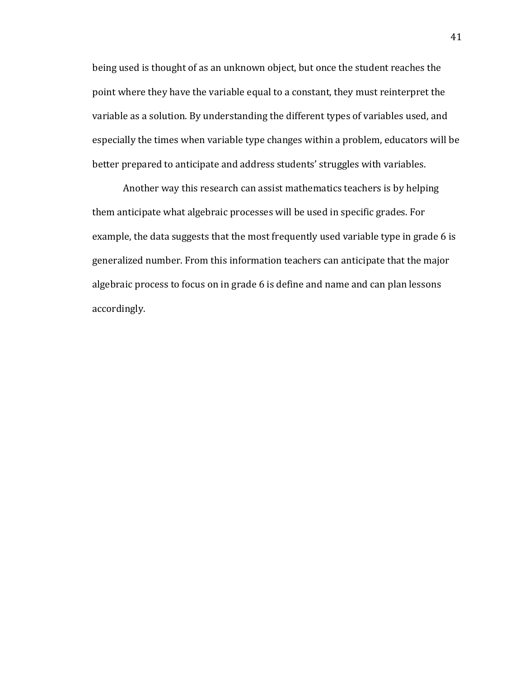being used is thought of as an unknown object, but once the student reaches the point where they have the variable equal to a constant, they must reinterpret the variable as a solution. By understanding the different types of variables used, and especially the times when variable type changes within a problem, educators will be better prepared to anticipate and address students' struggles with variables.

Another way this research can assist mathematics teachers is by helping them anticipate what algebraic processes will be used in specific grades. For example, the data suggests that the most frequently used variable type in grade 6 is generalized number. From this information teachers can anticipate that the major algebraic process to focus on in grade 6 is define and name and can plan lessons accordingly.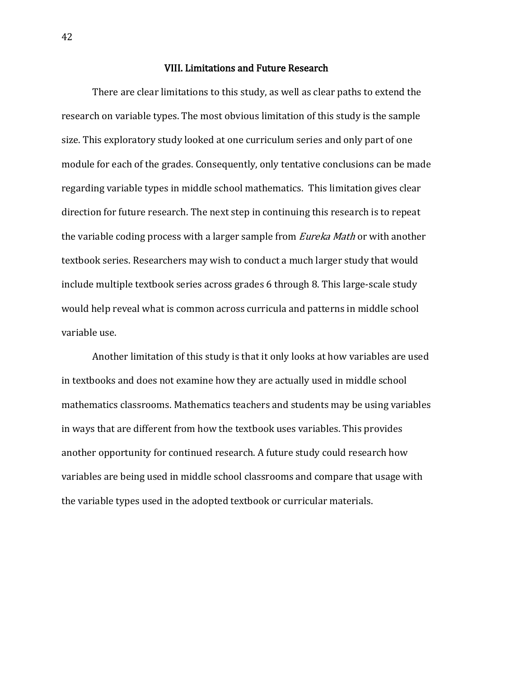## VIII. Limitations and Future Research

There are clear limitations to this study, as well as clear paths to extend the research on variable types. The most obvious limitation of this study is the sample size. This exploratory study looked at one curriculum series and only part of one module for each of the grades. Consequently, only tentative conclusions can be made regarding variable types in middle school mathematics. This limitation gives clear direction for future research. The next step in continuing this research is to repeat the variable coding process with a larger sample from *Eureka Math* or with another textbook series. Researchers may wish to conduct a much larger study that would include multiple textbook series across grades 6 through 8. This large-scale study would help reveal what is common across curricula and patterns in middle school variable use.

Another limitation of this study is that it only looks at how variables are used in textbooks and does not examine how they are actually used in middle school mathematics classrooms. Mathematics teachers and students may be using variables in ways that are different from how the textbook uses variables. This provides another opportunity for continued research. A future study could research how variables are being used in middle school classrooms and compare that usage with the variable types used in the adopted textbook or curricular materials.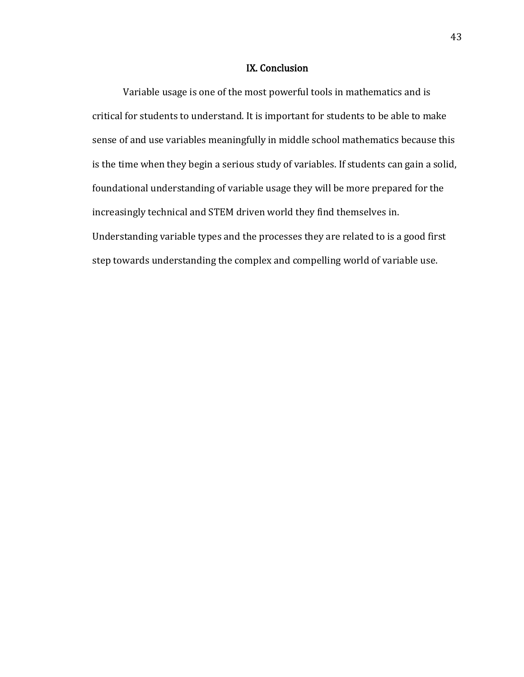## IX. Conclusion

 Variable usage is one of the most powerful tools in mathematics and is critical for students to understand. It is important for students to be able to make sense of and use variables meaningfully in middle school mathematics because this is the time when they begin a serious study of variables. If students can gain a solid, foundational understanding of variable usage they will be more prepared for the increasingly technical and STEM driven world they find themselves in. Understanding variable types and the processes they are related to is a good first step towards understanding the complex and compelling world of variable use.